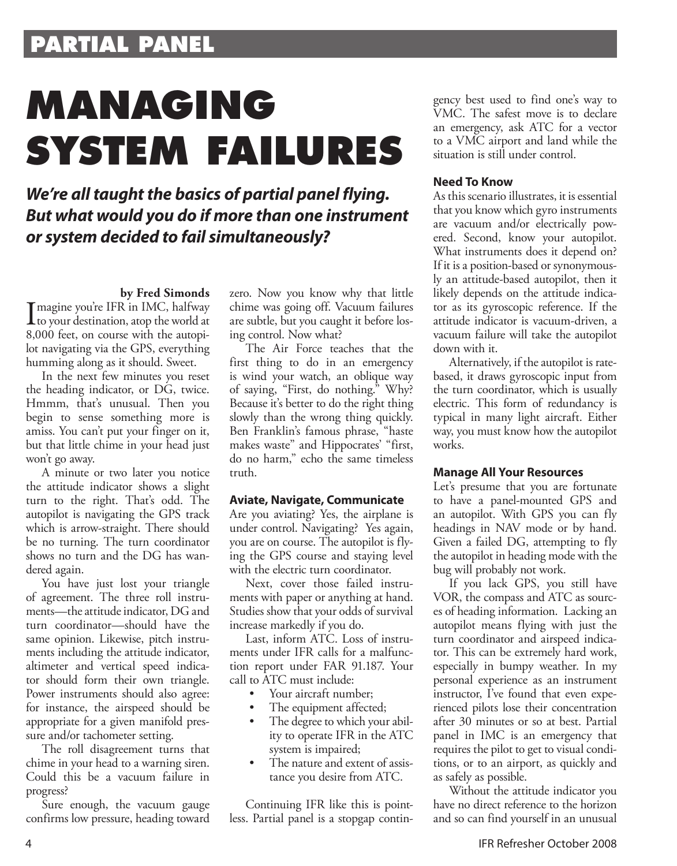# **PARTIAL PANEL**

# **MANAGING SYSTEM FAILURES**

## *We're all taught the basics of partial panel flying. But what would you do if more than one instrument or system decided to fail simultaneously?*

#### **by Fred Simonds**

Imagine you're IFR in IMC, halfway<br>to your destination, atop the world at<br>8.000 feet, an assume with the suteni to your destination, atop the world at 8,000 feet, on course with the autopilot navigating via the GPS, everything humming along as it should. Sweet.

In the next few minutes you reset the heading indicator, or DG, twice. Hmmm, that's unusual. Then you begin to sense something more is amiss. You can't put your finger on it, but that little chime in your head just won't go away.

A minute or two later you notice the attitude indicator shows a slight turn to the right. That's odd. The autopilot is navigating the GPS track which is arrow-straight. There should be no turning. The turn coordinator shows no turn and the DG has wandered again.

You have just lost your triangle of agreement. The three roll instruments—the attitude indicator, DG and turn coordinator—should have the same opinion. Likewise, pitch instruments including the attitude indicator, altimeter and vertical speed indicator should form their own triangle. Power instruments should also agree: for instance, the airspeed should be appropriate for a given manifold pressure and/or tachometer setting.

The roll disagreement turns that chime in your head to a warning siren. Could this be a vacuum failure in progress?

Sure enough, the vacuum gauge confirms low pressure, heading toward zero. Now you know why that little chime was going off. Vacuum failures are subtle, but you caught it before losing control. Now what?

The Air Force teaches that the first thing to do in an emergency is wind your watch, an oblique way of saying, "First, do nothing." Why? Because it's better to do the right thing slowly than the wrong thing quickly. Ben Franklin's famous phrase, "haste makes waste" and Hippocrates' "first, do no harm," echo the same timeless truth.

#### **Aviate, Navigate, Communicate**

Are you aviating? Yes, the airplane is under control. Navigating? Yes again, you are on course. The autopilot is flying the GPS course and staying level with the electric turn coordinator.

Next, cover those failed instruments with paper or anything at hand. Studies show that your odds of survival increase markedly if you do.

Last, inform ATC. Loss of instruments under IFR calls for a malfunction report under FAR 91.187. Your call to ATC must include:

- Your aircraft number; •
- The equipment affected; •
- The degree to which your ability to operate IFR in the ATC system is impaired; •
- The nature and extent of assistance you desire from ATC. •

Continuing IFR like this is pointless. Partial panel is a stopgap contingency best used to find one's way to VMC. The safest move is to declare an emergency, ask ATC for a vector to a VMC airport and land while the situation is still under control.

## **Need To Know**

As this scenario illustrates, it is essential that you know which gyro instruments are vacuum and/or electrically powered. Second, know your autopilot. What instruments does it depend on? If it is a position-based or synonymously an attitude-based autopilot, then it likely depends on the attitude indicator as its gyroscopic reference. If the attitude indicator is vacuum-driven, a vacuum failure will take the autopilot down with it.

Alternatively, if the autopilot is ratebased, it draws gyroscopic input from the turn coordinator, which is usually electric. This form of redundancy is typical in many light aircraft. Either way, you must know how the autopilot works.

## **Manage All Your Resources**

Let's presume that you are fortunate to have a panel-mounted GPS and an autopilot. With GPS you can fly headings in NAV mode or by hand. Given a failed DG, attempting to fly the autopilot in heading mode with the bug will probably not work.

If you lack GPS, you still have VOR, the compass and ATC as sources of heading information. Lacking an autopilot means flying with just the turn coordinator and airspeed indicator. This can be extremely hard work, especially in bumpy weather. In my personal experience as an instrument instructor, I've found that even experienced pilots lose their concentration after 30 minutes or so at best. Partial panel in IMC is an emergency that requires the pilot to get to visual conditions, or to an airport, as quickly and as safely as possible.

Without the attitude indicator you have no direct reference to the horizon and so can find yourself in an unusual